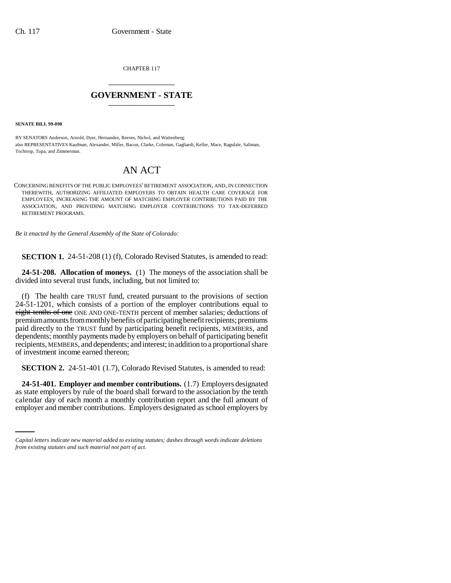CHAPTER 117 \_\_\_\_\_\_\_\_\_\_\_\_\_\_\_

## **GOVERNMENT - STATE** \_\_\_\_\_\_\_\_\_\_\_\_\_\_\_

**SENATE BILL 99-090** 

BY SENATORS Anderson, Arnold, Dyer, Hernandez, Reeves, Nichol, and Wattenberg; also REPRESENTATIVES Kaufman, Alexander, Miller, Bacon, Clarke, Coleman, Gagliardi, Keller, Mace, Ragsdale, Saliman, Tochtrop, Tupa, and Zimmerman.

## AN ACT

CONCERNING BENEFITS OF THE PUBLIC EMPLOYEES' RETIREMENT ASSOCIATION, AND, IN CONNECTION THEREWITH, AUTHORIZING AFFILIATED EMPLOYERS TO OBTAIN HEALTH CARE COVERAGE FOR EMPLOYEES, INCREASING THE AMOUNT OF MATCHING EMPLOYER CONTRIBUTIONS PAID BY THE ASSOCIATION, AND PROVIDING MATCHING EMPLOYER CONTRIBUTIONS TO TAX-DEFERRED RETIREMENT PROGRAMS.

*Be it enacted by the General Assembly of the State of Colorado:*

**SECTION 1.** 24-51-208 (1) (f), Colorado Revised Statutes, is amended to read:

**24-51-208. Allocation of moneys.** (1) The moneys of the association shall be divided into several trust funds, including, but not limited to:

(f) The health care TRUST fund, created pursuant to the provisions of section 24-51-1201, which consists of a portion of the employer contributions equal to eight-tenths of one ONE AND ONE-TENTH percent of member salaries; deductions of premium amounts from monthly benefits of participating benefit recipients; premiums paid directly to the TRUST fund by participating benefit recipients, MEMBERS, and dependents; monthly payments made by employers on behalf of participating benefit recipients, MEMBERS, and dependents; and interest; in addition to a proportional share of investment income earned thereon;

**SECTION 2.** 24-51-401 (1.7), Colorado Revised Statutes, is amended to read:

as state employers by rule of the board shall forward to the association by the tenth **24-51-401. Employer and member contributions.** (1.7) Employers designated calendar day of each month a monthly contribution report and the full amount of employer and member contributions. Employers designated as school employers by

*Capital letters indicate new material added to existing statutes; dashes through words indicate deletions from existing statutes and such material not part of act.*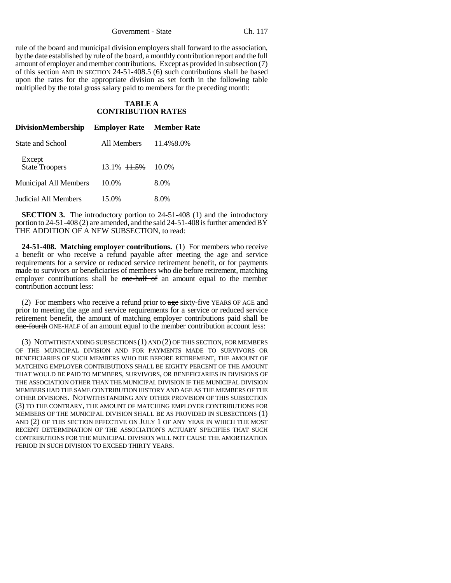Government - State Ch. 117

rule of the board and municipal division employers shall forward to the association, by the date established by rule of the board, a monthly contribution report and the full amount of employer and member contributions. Except as provided in subsection (7) of this section AND IN SECTION 24-51-408.5 (6) such contributions shall be based upon the rates for the appropriate division as set forth in the following table multiplied by the total gross salary paid to members for the preceding month:

## **TABLE A CONTRIBUTION RATES**

| <b>DivisionMembership</b>       | <b>Employer Rate</b> Member Rate |           |
|---------------------------------|----------------------------------|-----------|
| State and School                | All Members                      | 11.4%8.0% |
| Except<br><b>State Troopers</b> | 13.1% <del>11.5%</del>           | $10.0\%$  |
| Municipal All Members           | 10.0%                            | 8.0%      |
| Judicial All Members            | 15.0%                            | 8.0%      |

**SECTION 3.** The introductory portion to 24-51-408 (1) and the introductory portion to 24-51-408 (2) are amended, and the said 24-51-408 is further amended BY THE ADDITION OF A NEW SUBSECTION, to read:

**24-51-408. Matching employer contributions.** (1) For members who receive a benefit or who receive a refund payable after meeting the age and service requirements for a service or reduced service retirement benefit, or for payments made to survivors or beneficiaries of members who die before retirement, matching employer contributions shall be one-half of an amount equal to the member contribution account less:

(2) For members who receive a refund prior to  $\frac{1}{\text{age}}$  sixty-five YEARS OF AGE and prior to meeting the age and service requirements for a service or reduced service retirement benefit, the amount of matching employer contributions paid shall be one-fourth ONE-HALF of an amount equal to the member contribution account less:

(3) NOTWITHSTANDING SUBSECTIONS (1) AND (2) OF THIS SECTION, FOR MEMBERS OF THE MUNICIPAL DIVISION AND FOR PAYMENTS MADE TO SURVIVORS OR BENEFICIARIES OF SUCH MEMBERS WHO DIE BEFORE RETIREMENT, THE AMOUNT OF MATCHING EMPLOYER CONTRIBUTIONS SHALL BE EIGHTY PERCENT OF THE AMOUNT THAT WOULD BE PAID TO MEMBERS, SURVIVORS, OR BENEFICIARIES IN DIVISIONS OF THE ASSOCIATION OTHER THAN THE MUNICIPAL DIVISION IF THE MUNICIPAL DIVISION MEMBERS HAD THE SAME CONTRIBUTION HISTORY AND AGE AS THE MEMBERS OF THE OTHER DIVISIONS. NOTWITHSTANDING ANY OTHER PROVISION OF THIS SUBSECTION (3) TO THE CONTRARY, THE AMOUNT OF MATCHING EMPLOYER CONTRIBUTIONS FOR MEMBERS OF THE MUNICIPAL DIVISION SHALL BE AS PROVIDED IN SUBSECTIONS (1) AND (2) OF THIS SECTION EFFECTIVE ON JULY 1 OF ANY YEAR IN WHICH THE MOST RECENT DETERMINATION OF THE ASSOCIATION'S ACTUARY SPECIFIES THAT SUCH CONTRIBUTIONS FOR THE MUNICIPAL DIVISION WILL NOT CAUSE THE AMORTIZATION PERIOD IN SUCH DIVISION TO EXCEED THIRTY YEARS.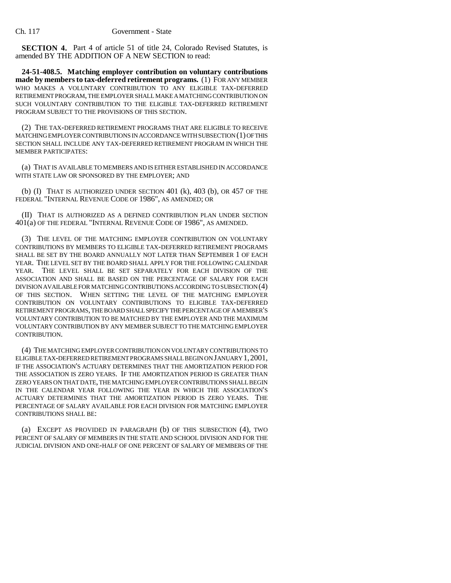**SECTION 4.** Part 4 of article 51 of title 24, Colorado Revised Statutes, is amended BY THE ADDITION OF A NEW SECTION to read:

**24-51-408.5. Matching employer contribution on voluntary contributions made by members to tax-deferred retirement programs.** (1) FOR ANY MEMBER WHO MAKES A VOLUNTARY CONTRIBUTION TO ANY ELIGIBLE TAX-DEFERRED RETIREMENT PROGRAM, THE EMPLOYER SHALL MAKE A MATCHING CONTRIBUTION ON SUCH VOLUNTARY CONTRIBUTION TO THE ELIGIBLE TAX-DEFERRED RETIREMENT PROGRAM SUBJECT TO THE PROVISIONS OF THIS SECTION.

(2) THE TAX-DEFERRED RETIREMENT PROGRAMS THAT ARE ELIGIBLE TO RECEIVE MATCHING EMPLOYER CONTRIBUTIONS IN ACCORDANCE WITH SUBSECTION (1) OF THIS SECTION SHALL INCLUDE ANY TAX-DEFERRED RETIREMENT PROGRAM IN WHICH THE MEMBER PARTICIPATES:

(a) THAT IS AVAILABLE TO MEMBERS AND IS EITHER ESTABLISHED IN ACCORDANCE WITH STATE LAW OR SPONSORED BY THE EMPLOYER; AND

(b) (I) THAT IS AUTHORIZED UNDER SECTION 401 (k), 403 (b), OR 457 OF THE FEDERAL "INTERNAL REVENUE CODE OF 1986", AS AMENDED; OR

(II) THAT IS AUTHORIZED AS A DEFINED CONTRIBUTION PLAN UNDER SECTION 401(a) OF THE FEDERAL "INTERNAL REVENUE CODE OF 1986", AS AMENDED.

(3) THE LEVEL OF THE MATCHING EMPLOYER CONTRIBUTION ON VOLUNTARY CONTRIBUTIONS BY MEMBERS TO ELIGIBLE TAX-DEFERRED RETIREMENT PROGRAMS SHALL BE SET BY THE BOARD ANNUALLY NOT LATER THAN SEPTEMBER 1 OF EACH YEAR. THE LEVEL SET BY THE BOARD SHALL APPLY FOR THE FOLLOWING CALENDAR YEAR. THE LEVEL SHALL BE SET SEPARATELY FOR EACH DIVISION OF THE ASSOCIATION AND SHALL BE BASED ON THE PERCENTAGE OF SALARY FOR EACH DIVISION AVAILABLE FOR MATCHING CONTRIBUTIONS ACCORDING TO SUBSECTION (4) OF THIS SECTION. WHEN SETTING THE LEVEL OF THE MATCHING EMPLOYER CONTRIBUTION ON VOLUNTARY CONTRIBUTIONS TO ELIGIBLE TAX-DEFERRED RETIREMENT PROGRAMS, THE BOARD SHALL SPECIFY THE PERCENTAGE OF A MEMBER'S VOLUNTARY CONTRIBUTION TO BE MATCHED BY THE EMPLOYER AND THE MAXIMUM VOLUNTARY CONTRIBUTION BY ANY MEMBER SUBJECT TO THE MATCHING EMPLOYER CONTRIBUTION.

(4) THE MATCHING EMPLOYER CONTRIBUTION ON VOLUNTARY CONTRIBUTIONS TO ELIGIBLE TAX-DEFERRED RETIREMENT PROGRAMS SHALL BEGIN ON JANUARY 1,2001, IF THE ASSOCIATION'S ACTUARY DETERMINES THAT THE AMORTIZATION PERIOD FOR THE ASSOCIATION IS ZERO YEARS. IF THE AMORTIZATION PERIOD IS GREATER THAN ZERO YEARS ON THAT DATE, THE MATCHING EMPLOYER CONTRIBUTIONS SHALL BEGIN IN THE CALENDAR YEAR FOLLOWING THE YEAR IN WHICH THE ASSOCIATION'S ACTUARY DETERMINES THAT THE AMORTIZATION PERIOD IS ZERO YEARS. THE PERCENTAGE OF SALARY AVAILABLE FOR EACH DIVISION FOR MATCHING EMPLOYER CONTRIBUTIONS SHALL BE:

(a) EXCEPT AS PROVIDED IN PARAGRAPH (b) OF THIS SUBSECTION (4), TWO PERCENT OF SALARY OF MEMBERS IN THE STATE AND SCHOOL DIVISION AND FOR THE JUDICIAL DIVISION AND ONE-HALF OF ONE PERCENT OF SALARY OF MEMBERS OF THE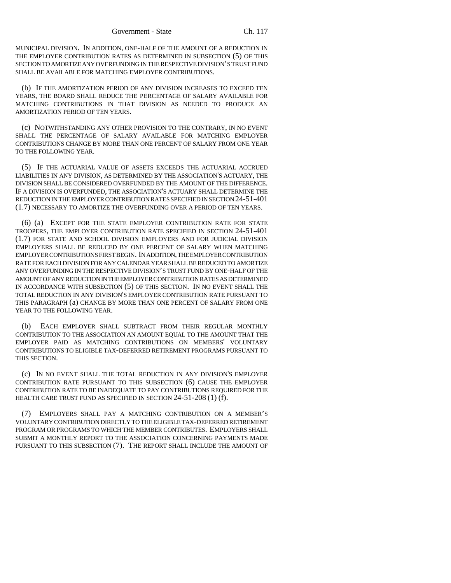MUNICIPAL DIVISION. IN ADDITION, ONE-HALF OF THE AMOUNT OF A REDUCTION IN THE EMPLOYER CONTRIBUTION RATES AS DETERMINED IN SUBSECTION (5) OF THIS SECTION TO AMORTIZE ANY OVERFUNDING IN THE RESPECTIVE DIVISION'S TRUST FUND SHALL BE AVAILABLE FOR MATCHING EMPLOYER CONTRIBUTIONS.

(b) IF THE AMORTIZATION PERIOD OF ANY DIVISION INCREASES TO EXCEED TEN YEARS, THE BOARD SHALL REDUCE THE PERCENTAGE OF SALARY AVAILABLE FOR MATCHING CONTRIBUTIONS IN THAT DIVISION AS NEEDED TO PRODUCE AN AMORTIZATION PERIOD OF TEN YEARS.

(c) NOTWITHSTANDING ANY OTHER PROVISION TO THE CONTRARY, IN NO EVENT SHALL THE PERCENTAGE OF SALARY AVAILABLE FOR MATCHING EMPLOYER CONTRIBUTIONS CHANGE BY MORE THAN ONE PERCENT OF SALARY FROM ONE YEAR TO THE FOLLOWING YEAR.

(5) IF THE ACTUARIAL VALUE OF ASSETS EXCEEDS THE ACTUARIAL ACCRUED LIABILITIES IN ANY DIVISION, AS DETERMINED BY THE ASSOCIATION'S ACTUARY, THE DIVISION SHALL BE CONSIDERED OVERFUNDED BY THE AMOUNT OF THE DIFFERENCE. IF A DIVISION IS OVERFUNDED, THE ASSOCIATION'S ACTUARY SHALL DETERMINE THE REDUCTION IN THE EMPLOYER CONTRIBUTION RATES SPECIFIED IN SECTION 24-51-401 (1.7) NECESSARY TO AMORTIZE THE OVERFUNDING OVER A PERIOD OF TEN YEARS.

(6) (a) EXCEPT FOR THE STATE EMPLOYER CONTRIBUTION RATE FOR STATE TROOPERS, THE EMPLOYER CONTRIBUTION RATE SPECIFIED IN SECTION 24-51-401 (1.7) FOR STATE AND SCHOOL DIVISION EMPLOYERS AND FOR JUDICIAL DIVISION EMPLOYERS SHALL BE REDUCED BY ONE PERCENT OF SALARY WHEN MATCHING EMPLOYER CONTRIBUTIONS FIRST BEGIN. IN ADDITION, THE EMPLOYER CONTRIBUTION RATE FOR EACH DIVISION FOR ANY CALENDAR YEAR SHALL BE REDUCED TO AMORTIZE ANY OVERFUNDING IN THE RESPECTIVE DIVISION'S TRUST FUND BY ONE-HALF OF THE AMOUNT OF ANY REDUCTION IN THE EMPLOYER CONTRIBUTION RATES AS DETERMINED IN ACCORDANCE WITH SUBSECTION (5) OF THIS SECTION. IN NO EVENT SHALL THE TOTAL REDUCTION IN ANY DIVISION'S EMPLOYER CONTRIBUTION RATE PURSUANT TO THIS PARAGRAPH (a) CHANGE BY MORE THAN ONE PERCENT OF SALARY FROM ONE YEAR TO THE FOLLOWING YEAR.

(b) EACH EMPLOYER SHALL SUBTRACT FROM THEIR REGULAR MONTHLY CONTRIBUTION TO THE ASSOCIATION AN AMOUNT EQUAL TO THE AMOUNT THAT THE EMPLOYER PAID AS MATCHING CONTRIBUTIONS ON MEMBERS' VOLUNTARY CONTRIBUTIONS TO ELIGIBLE TAX-DEFERRED RETIREMENT PROGRAMS PURSUANT TO THIS SECTION.

(c) IN NO EVENT SHALL THE TOTAL REDUCTION IN ANY DIVISION'S EMPLOYER CONTRIBUTION RATE PURSUANT TO THIS SUBSECTION (6) CAUSE THE EMPLOYER CONTRIBUTION RATE TO BE INADEQUATE TO PAY CONTRIBUTIONS REQUIRED FOR THE HEALTH CARE TRUST FUND AS SPECIFIED IN SECTION 24-51-208 (1) (f).

(7) EMPLOYERS SHALL PAY A MATCHING CONTRIBUTION ON A MEMBER'S VOLUNTARY CONTRIBUTION DIRECTLY TO THE ELIGIBLE TAX-DEFERRED RETIREMENT PROGRAM OR PROGRAMS TO WHICH THE MEMBER CONTRIBUTES. EMPLOYERS SHALL SUBMIT A MONTHLY REPORT TO THE ASSOCIATION CONCERNING PAYMENTS MADE PURSUANT TO THIS SUBSECTION (7). THE REPORT SHALL INCLUDE THE AMOUNT OF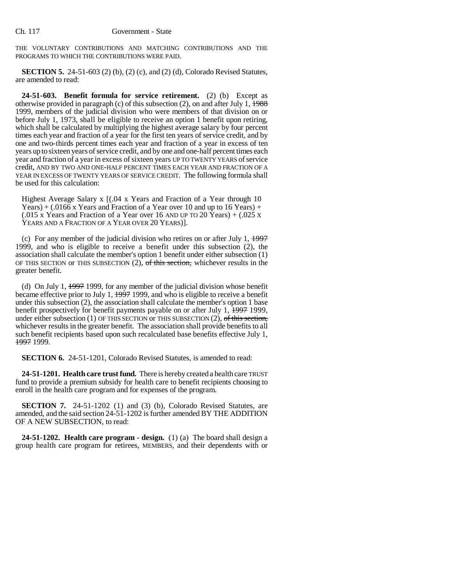THE VOLUNTARY CONTRIBUTIONS AND MATCHING CONTRIBUTIONS AND THE PROGRAMS TO WHICH THE CONTRIBUTIONS WERE PAID.

**SECTION 5.** 24-51-603 (2) (b), (2) (c), and (2) (d), Colorado Revised Statutes, are amended to read:

**24-51-603. Benefit formula for service retirement.** (2) (b) Except as otherwise provided in paragraph (c) of this subsection (2), on and after July 1,  $\frac{1988}{1988}$ 1999, members of the judicial division who were members of that division on or before July 1, 1973, shall be eligible to receive an option 1 benefit upon retiring, which shall be calculated by multiplying the highest average salary by four percent times each year and fraction of a year for the first ten years of service credit, and by one and two-thirds percent times each year and fraction of a year in excess of ten years up to sixteen years of service credit, and by one and one-half percent times each year and fraction of a year in excess of sixteen years UP TO TWENTY YEARS of service credit, AND BY TWO AND ONE-HALF PERCENT TIMES EACH YEAR AND FRACTION OF A YEAR IN EXCESS OF TWENTY YEARS OF SERVICE CREDIT. The following formula shall be used for this calculation:

Highest Average Salary x  $(0.04 \times \text{Years}$  and Fraction of a Year through 10 Years) + (.0166 x Years and Fraction of a Year over 10 and up to 16 Years) + (.015 x Years and Fraction of a Year over 16 AND UP TO 20 Years) + (.025 x YEARS AND A FRACTION OF A YEAR OVER 20 YEARS)].

(c) For any member of the judicial division who retires on or after July 1,  $\frac{1997}{2}$ 1999, and who is eligible to receive a benefit under this subsection (2), the association shall calculate the member's option 1 benefit under either subsection (1) OF THIS SECTION OF THIS SUBSECTION  $(2)$ , of this section, whichever results in the greater benefit.

(d) On July 1,  $\frac{1997}{1999}$ , for any member of the judicial division whose benefit became effective prior to July 1, 1997 1999, and who is eligible to receive a benefit under this subsection (2), the association shall calculate the member's option 1 base benefit prospectively for benefit payments payable on or after July 1, 1997 1999, under either subsection (1) OF THIS SECTION or THIS SUBSECTION (2),  $\theta$  this section, whichever results in the greater benefit. The association shall provide benefits to all such benefit recipients based upon such recalculated base benefits effective July 1, 1997 1999.

**SECTION 6.** 24-51-1201, Colorado Revised Statutes, is amended to read:

**24-51-1201. Health care trust fund.** There is hereby created a health care TRUST fund to provide a premium subsidy for health care to benefit recipients choosing to enroll in the health care program and for expenses of the program.

**SECTION 7.** 24-51-1202 (1) and (3) (b), Colorado Revised Statutes, are amended, and the said section 24-51-1202 is further amended BY THE ADDITION OF A NEW SUBSECTION, to read:

**24-51-1202. Health care program - design.** (1) (a) The board shall design a group health care program for retirees, MEMBERS, and their dependents with or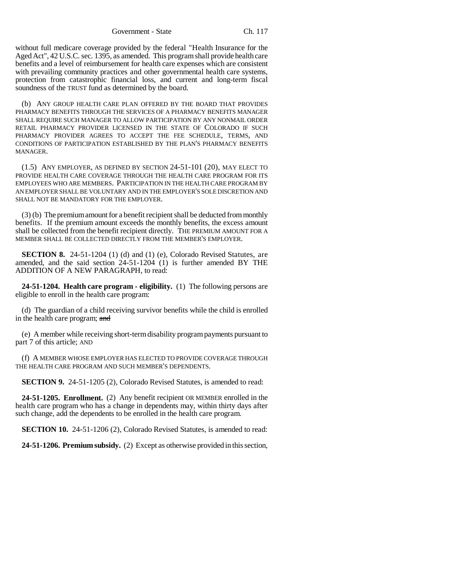Government - State Ch. 117

without full medicare coverage provided by the federal "Health Insurance for the Aged Act", 42 U.S.C. sec. 1395, as amended. This program shall provide health care benefits and a level of reimbursement for health care expenses which are consistent with prevailing community practices and other governmental health care systems, protection from catastrophic financial loss, and current and long-term fiscal soundness of the TRUST fund as determined by the board.

(b) ANY GROUP HEALTH CARE PLAN OFFERED BY THE BOARD THAT PROVIDES PHARMACY BENEFITS THROUGH THE SERVICES OF A PHARMACY BENEFITS MANAGER SHALL REQUIRE SUCH MANAGER TO ALLOW PARTICIPATION BY ANY NONMAIL ORDER RETAIL PHARMACY PROVIDER LICENSED IN THE STATE OF COLORADO IF SUCH PHARMACY PROVIDER AGREES TO ACCEPT THE FEE SCHEDULE, TERMS, AND CONDITIONS OF PARTICIPATION ESTABLISHED BY THE PLAN'S PHARMACY BENEFITS MANAGER.

(1.5) ANY EMPLOYER, AS DEFINED BY SECTION 24-51-101 (20), MAY ELECT TO PROVIDE HEALTH CARE COVERAGE THROUGH THE HEALTH CARE PROGRAM FOR ITS EMPLOYEES WHO ARE MEMBERS. PARTICIPATION IN THE HEALTH CARE PROGRAM BY AN EMPLOYER SHALL BE VOLUNTARY AND IN THE EMPLOYER'S SOLE DISCRETION AND SHALL NOT BE MANDATORY FOR THE EMPLOYER.

(3) (b) The premium amount for a benefit recipient shall be deducted from monthly benefits. If the premium amount exceeds the monthly benefits, the excess amount shall be collected from the benefit recipient directly. THE PREMIUM AMOUNT FOR A MEMBER SHALL BE COLLECTED DIRECTLY FROM THE MEMBER'S EMPLOYER.

**SECTION 8.** 24-51-1204 (1) (d) and (1) (e), Colorado Revised Statutes, are amended, and the said section 24-51-1204 (1) is further amended BY THE ADDITION OF A NEW PARAGRAPH, to read:

**24-51-1204. Health care program - eligibility.** (1) The following persons are eligible to enroll in the health care program:

(d) The guardian of a child receiving survivor benefits while the child is enrolled in the health care program; and

(e) A member while receiving short-term disability program payments pursuant to part 7 of this article; AND

(f) A MEMBER WHOSE EMPLOYER HAS ELECTED TO PROVIDE COVERAGE THROUGH THE HEALTH CARE PROGRAM AND SUCH MEMBER'S DEPENDENTS.

**SECTION 9.** 24-51-1205 (2), Colorado Revised Statutes, is amended to read:

**24-51-1205. Enrollment.** (2) Any benefit recipient OR MEMBER enrolled in the health care program who has a change in dependents may, within thirty days after such change, add the dependents to be enrolled in the health care program.

**SECTION 10.** 24-51-1206 (2), Colorado Revised Statutes, is amended to read:

**24-51-1206. Premium subsidy.** (2) Except as otherwise provided in this section,